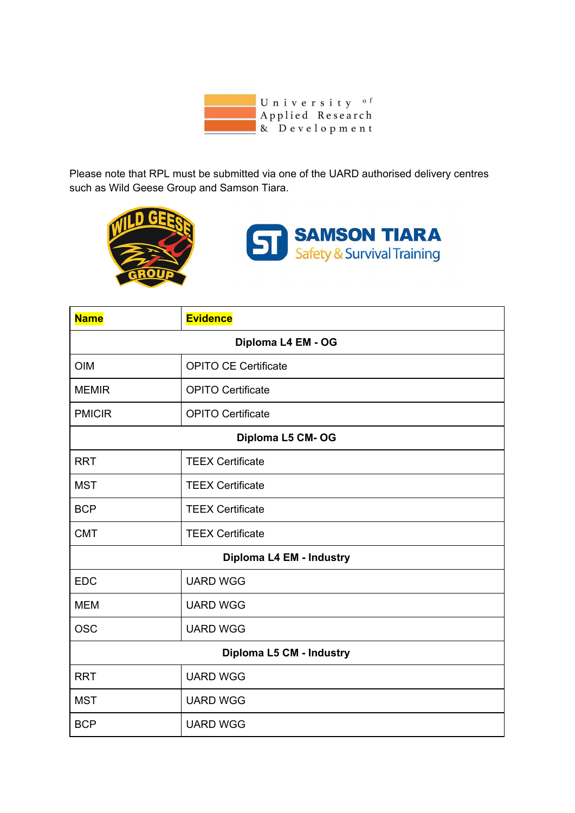

Please note that RPL must be submitted via one of the UARD authorised delivery centres such as Wild Geese Group and Samson Tiara.





| <b>Name</b>              | <b>Evidence</b>             |  |
|--------------------------|-----------------------------|--|
| Diploma L4 EM - OG       |                             |  |
| <b>OIM</b>               | <b>OPITO CE Certificate</b> |  |
| <b>MEMIR</b>             | <b>OPITO Certificate</b>    |  |
| <b>PMICIR</b>            | <b>OPITO Certificate</b>    |  |
| Diploma L5 CM-OG         |                             |  |
| <b>RRT</b>               | <b>TEEX Certificate</b>     |  |
| <b>MST</b>               | <b>TEEX Certificate</b>     |  |
| <b>BCP</b>               | <b>TEEX Certificate</b>     |  |
| <b>CMT</b>               | <b>TEEX Certificate</b>     |  |
| Diploma L4 EM - Industry |                             |  |
| <b>EDC</b>               | <b>UARD WGG</b>             |  |
| <b>MEM</b>               | <b>UARD WGG</b>             |  |
| <b>OSC</b>               | <b>UARD WGG</b>             |  |
| Diploma L5 CM - Industry |                             |  |
| <b>RRT</b>               | <b>UARD WGG</b>             |  |
| <b>MST</b>               | <b>UARD WGG</b>             |  |
| <b>BCP</b>               | <b>UARD WGG</b>             |  |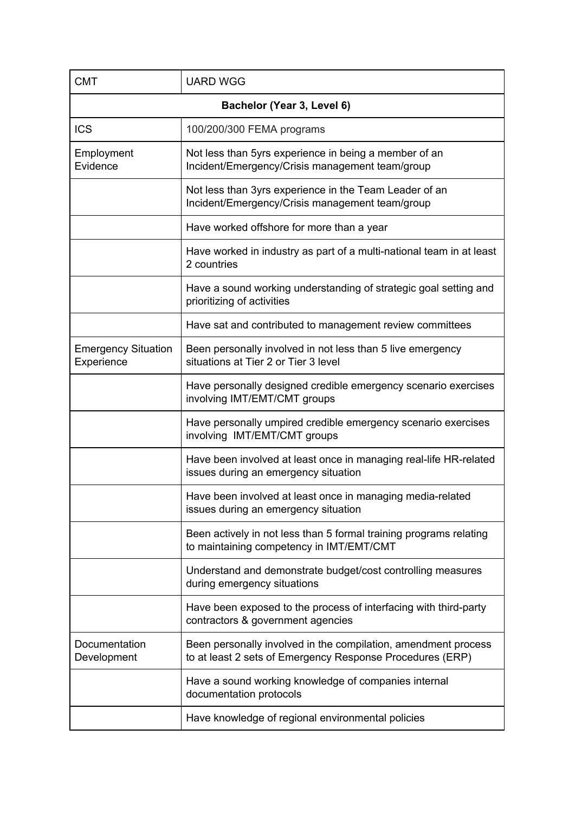| <b>CMT</b>                               | <b>UARD WGG</b>                                                                                                             |  |
|------------------------------------------|-----------------------------------------------------------------------------------------------------------------------------|--|
| Bachelor (Year 3, Level 6)               |                                                                                                                             |  |
| <b>ICS</b>                               | 100/200/300 FEMA programs                                                                                                   |  |
| Employment<br>Evidence                   | Not less than 5yrs experience in being a member of an<br>Incident/Emergency/Crisis management team/group                    |  |
|                                          | Not less than 3yrs experience in the Team Leader of an<br>Incident/Emergency/Crisis management team/group                   |  |
|                                          | Have worked offshore for more than a year                                                                                   |  |
|                                          | Have worked in industry as part of a multi-national team in at least<br>2 countries                                         |  |
|                                          | Have a sound working understanding of strategic goal setting and<br>prioritizing of activities                              |  |
|                                          | Have sat and contributed to management review committees                                                                    |  |
| <b>Emergency Situation</b><br>Experience | Been personally involved in not less than 5 live emergency<br>situations at Tier 2 or Tier 3 level                          |  |
|                                          | Have personally designed credible emergency scenario exercises<br>involving IMT/EMT/CMT groups                              |  |
|                                          | Have personally umpired credible emergency scenario exercises<br>involving IMT/EMT/CMT groups                               |  |
|                                          | Have been involved at least once in managing real-life HR-related<br>issues during an emergency situation                   |  |
|                                          | Have been involved at least once in managing media-related<br>issues during an emergency situation                          |  |
|                                          | Been actively in not less than 5 formal training programs relating<br>to maintaining competency in IMT/EMT/CMT              |  |
|                                          | Understand and demonstrate budget/cost controlling measures<br>during emergency situations                                  |  |
|                                          | Have been exposed to the process of interfacing with third-party<br>contractors & government agencies                       |  |
| Documentation<br>Development             | Been personally involved in the compilation, amendment process<br>to at least 2 sets of Emergency Response Procedures (ERP) |  |
|                                          | Have a sound working knowledge of companies internal<br>documentation protocols                                             |  |
|                                          | Have knowledge of regional environmental policies                                                                           |  |